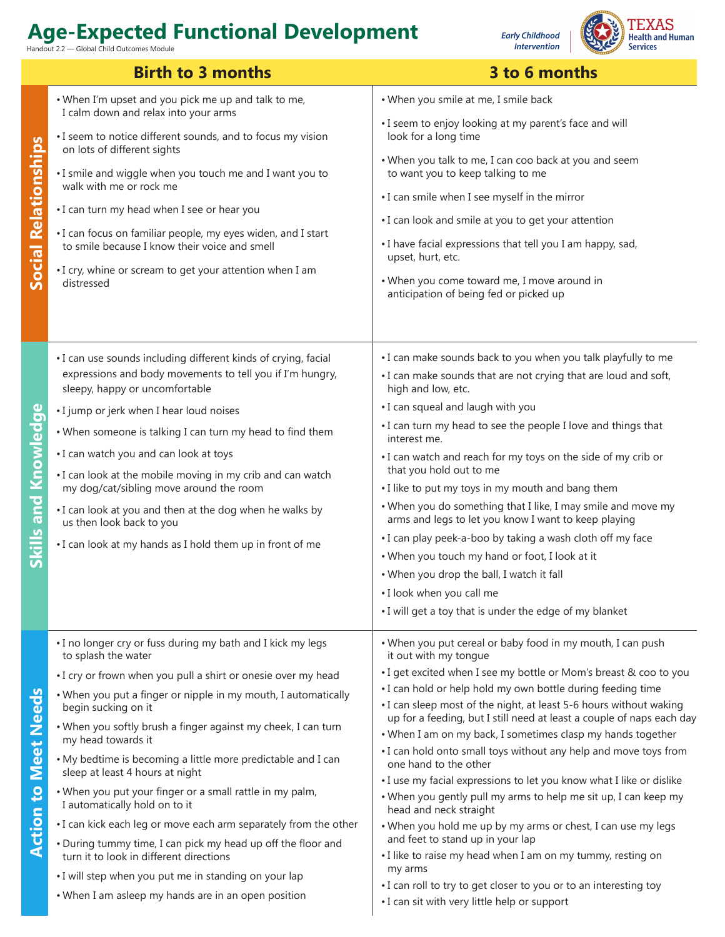Handout 2.2 — Global Child Outcomes Module

**Early Childhood Intervention** 



|                             | <b>Birth to 3 months</b>                                                                                                    | 3 to 6 months                                                                                                                        |
|-----------------------------|-----------------------------------------------------------------------------------------------------------------------------|--------------------------------------------------------------------------------------------------------------------------------------|
| <b>Social Relationships</b> | . When I'm upset and you pick me up and talk to me,                                                                         | • When you smile at me, I smile back                                                                                                 |
|                             | I calm down and relax into your arms<br>• I seem to notice different sounds, and to focus my vision                         | • I seem to enjoy looking at my parent's face and will<br>look for a long time                                                       |
|                             | on lots of different sights<br>. I smile and wiggle when you touch me and I want you to<br>walk with me or rock me          | . When you talk to me, I can coo back at you and seem<br>to want you to keep talking to me                                           |
|                             |                                                                                                                             | • I can smile when I see myself in the mirror                                                                                        |
|                             | •I can turn my head when I see or hear you                                                                                  | • I can look and smile at you to get your attention                                                                                  |
|                             | . I can focus on familiar people, my eyes widen, and I start<br>to smile because I know their voice and smell               | • I have facial expressions that tell you I am happy, sad,<br>upset, hurt, etc.                                                      |
|                             | . I cry, whine or scream to get your attention when I am<br>distressed                                                      | • When you come toward me, I move around in<br>anticipation of being fed or picked up                                                |
|                             | • I can use sounds including different kinds of crying, facial<br>expressions and body movements to tell you if I'm hungry, | . I can make sounds back to you when you talk playfully to me<br>• I can make sounds that are not crying that are loud and soft,     |
| <b>Skills and Knowledge</b> | sleepy, happy or uncomfortable                                                                                              | high and low, etc.                                                                                                                   |
|                             | • I jump or jerk when I hear loud noises                                                                                    | • I can squeal and laugh with you                                                                                                    |
|                             | . When someone is talking I can turn my head to find them                                                                   | • I can turn my head to see the people I love and things that<br>interest me.                                                        |
|                             | • I can watch you and can look at toys<br>• I can look at the mobile moving in my crib and can watch                        | • I can watch and reach for my toys on the side of my crib or<br>that you hold out to me                                             |
|                             | my dog/cat/sibling move around the room                                                                                     | • I like to put my toys in my mouth and bang them                                                                                    |
|                             | • I can look at you and then at the dog when he walks by<br>us then look back to you                                        | . When you do something that I like, I may smile and move my<br>arms and legs to let you know I want to keep playing                 |
|                             | • I can look at my hands as I hold them up in front of me                                                                   | • I can play peek-a-boo by taking a wash cloth off my face                                                                           |
|                             |                                                                                                                             | . When you touch my hand or foot, I look at it                                                                                       |
|                             |                                                                                                                             | . When you drop the ball, I watch it fall<br>. I look when you call me                                                               |
|                             |                                                                                                                             | • I will get a toy that is under the edge of my blanket                                                                              |
| <b>Action to Meet Needs</b> | • I no longer cry or fuss during my bath and I kick my legs<br>to splash the water                                          | . When you put cereal or baby food in my mouth, I can push<br>it out with my tongue                                                  |
|                             | . I cry or frown when you pull a shirt or onesie over my head                                                               | . I get excited when I see my bottle or Mom's breast & coo to you                                                                    |
|                             | . When you put a finger or nipple in my mouth, I automatically<br>begin sucking on it                                       | • I can hold or help hold my own bottle during feeding time<br>• I can sleep most of the night, at least 5-6 hours without waking    |
|                             | . When you softly brush a finger against my cheek, I can turn<br>my head towards it                                         | up for a feeding, but I still need at least a couple of naps each day<br>. When I am on my back, I sometimes clasp my hands together |
|                             | . My bedtime is becoming a little more predictable and I can<br>sleep at least 4 hours at night                             | • I can hold onto small toys without any help and move toys from<br>one hand to the other                                            |
|                             | . When you put your finger or a small rattle in my palm,                                                                    | • I use my facial expressions to let you know what I like or dislike                                                                 |
|                             | I automatically hold on to it                                                                                               | . When you gently pull my arms to help me sit up, I can keep my<br>head and neck straight                                            |
|                             | . I can kick each leg or move each arm separately from the other                                                            | . When you hold me up by my arms or chest, I can use my legs<br>and feet to stand up in your lap                                     |
|                             | • During tummy time, I can pick my head up off the floor and<br>turn it to look in different directions                     | . I like to raise my head when I am on my tummy, resting on<br>my arms                                                               |
|                             | • I will step when you put me in standing on your lap                                                                       | • I can roll to try to get closer to you or to an interesting toy                                                                    |
|                             | • When I am asleep my hands are in an open position                                                                         | • I can sit with very little help or support                                                                                         |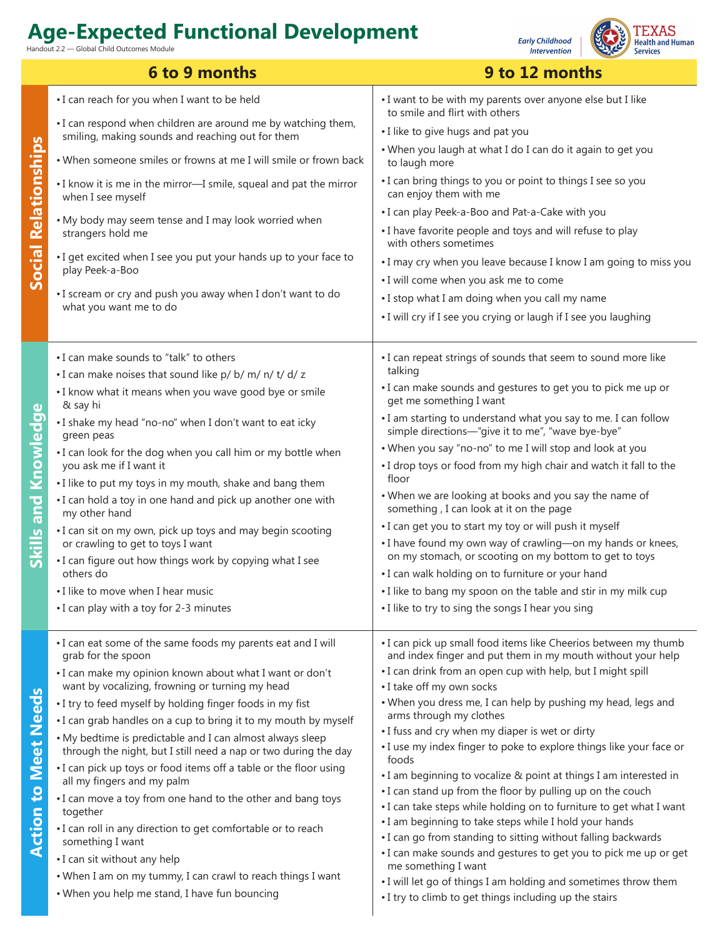- Global Child Outcomes Module



**6 to 9 months 9 to 12 months** • I can reach for you when I want to be held • I want to be with my parents over anyone else but I like to smile and flirt with others • I can respond when children are around me by watching them, • I like to give hugs and pat you smiling, making sounds and reaching out for them **Social Relationships Social Relationships** • When you laugh at what I do I can do it again to get you • When someone smiles or frowns at me I will smile or frown back to laugh more • I can bring things to you or point to things I see so you • I know it is me in the mirror—I smile, squeal and pat the mirror can enjoy them with me when I see myself • I can play Peek-a-Boo and Pat-a-Cake with you • My body may seem tense and I may look worried when • I have favorite people and toys and will refuse to play strangers hold me with others sometimes • I get excited when I see you put your hands up to your face to • I may cry when you leave because I know I am going to miss you play Peek-a-Boo • I will come when you ask me to come • I scream or cry and push you away when I don't want to do • I stop what I am doing when you call my name what you want me to do • I will cry if I see you crying or laugh if I see you laughing • I can make sounds to "talk" to others • I can repeat strings of sounds that seem to sound more like talking • I can make noises that sound like p/ b/ m/ n/ t/ d/ z • I can make sounds and gestures to get you to pick me up or • I know what it means when you wave good bye or smile get me something I want Knowledge & say hi **Skills and Knowledge** • I am starting to understand what you say to me. I can follow • I shake my head "no-no" when I don't want to eat icky simple directions—"give it to me", "wave bye-bye" green peas • When you say "no-no" to me I will stop and look at you • I can look for the dog when you call him or my bottle when you ask me if I want it • I drop toys or food from my high chair and watch it fall to the floor • I like to put my toys in my mouth, shake and bang them • When we are looking at books and you say the name of Skills and • I can hold a toy in one hand and pick up another one with something , I can look at it on the page my other hand • I can get you to start my toy or will push it myself • I can sit on my own, pick up toys and may begin scooting or crawling to get to toys I want • I have found my own way of crawling—on my hands or knees, on my stomach, or scooting on my bottom to get to toys • I can figure out how things work by copying what I see others do • I can walk holding on to furniture or your hand • I like to move when I hear music • I like to bang my spoon on the table and stir in my milk cup • I can play with a toy for 2-3 minutes • I like to try to sing the songs I hear you sing • I can eat some of the same foods my parents eat and I will • I can pick up small food items like Cheerios between my thumb grab for the spoon and index finger and put them in my mouth without your help • I can drink from an open cup with help, but I might spill • I can make my opinion known about what I want or don't want by vocalizing, frowning or turning my head • I take off my own socks **Meet Needs Action to Meet Needs** • I try to feed myself by holding finger foods in my fist • When you dress me, I can help by pushing my head, legs and arms through my clothes • I can grab handles on a cup to bring it to my mouth by myself • I fuss and cry when my diaper is wet or dirty • My bedtime is predictable and I can almost always sleep • I use my index finger to poke to explore things like your face or through the night, but I still need a nap or two during the day foods • I can pick up toys or food items off a table or the floor using • I am beginning to vocalize & point at things I am interested in all my fingers and my palm **Action to** • I can stand up from the floor by pulling up on the couch • I can move a toy from one hand to the other and bang toys • I can take steps while holding on to furniture to get what I want together • I am beginning to take steps while I hold your hands • I can roll in any direction to get comfortable or to reach • I can go from standing to sitting without falling backwards something I want • I can make sounds and gestures to get you to pick me up or get • I can sit without any help me something I want • When I am on my tummy, I can crawl to reach things I want • I will let go of things I am holding and sometimes throw them • When you help me stand, I have fun bouncing • I try to climb to get things including up the stairs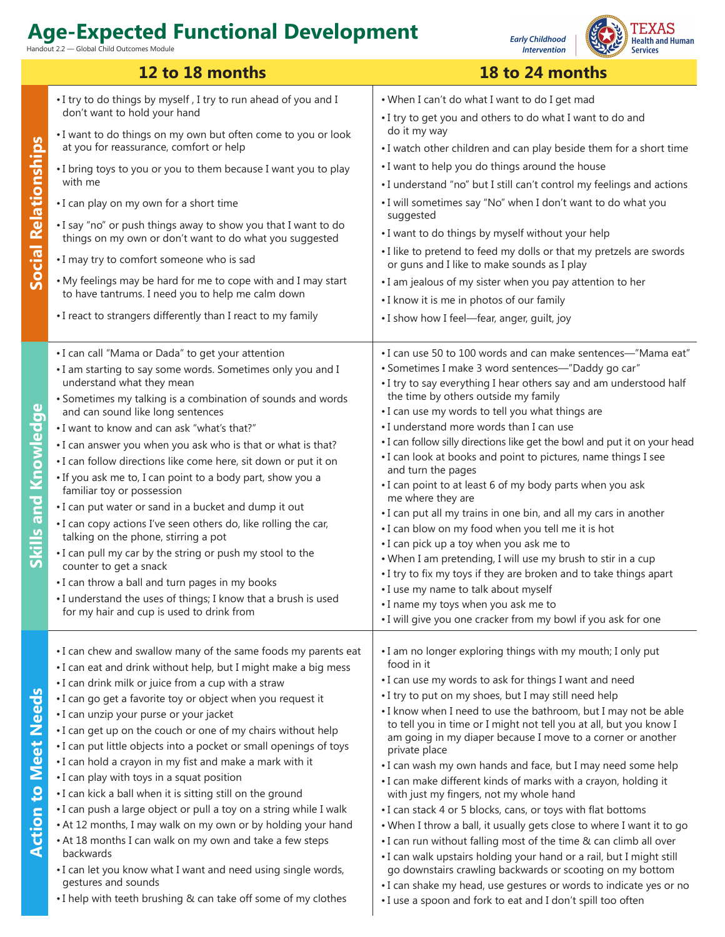Handout 2.2 — Global Child Outcomes Module

**Early Childhood** *<u>Intervention</u>* 



|                             | 12 to 18 months                                                                                                                                                                                                                                                                                                                                                                                                                                                                                                                                                                                                                                                                                                                                                                                                                                                                                                                                                                           | 18 to 24 months                                                                                                                                                                                                                                                                                                                                                                                                                                                                                                                                                                                                                                                                                                                                                                                                                                                                                                                                                                                                                                                                             |
|-----------------------------|-------------------------------------------------------------------------------------------------------------------------------------------------------------------------------------------------------------------------------------------------------------------------------------------------------------------------------------------------------------------------------------------------------------------------------------------------------------------------------------------------------------------------------------------------------------------------------------------------------------------------------------------------------------------------------------------------------------------------------------------------------------------------------------------------------------------------------------------------------------------------------------------------------------------------------------------------------------------------------------------|---------------------------------------------------------------------------------------------------------------------------------------------------------------------------------------------------------------------------------------------------------------------------------------------------------------------------------------------------------------------------------------------------------------------------------------------------------------------------------------------------------------------------------------------------------------------------------------------------------------------------------------------------------------------------------------------------------------------------------------------------------------------------------------------------------------------------------------------------------------------------------------------------------------------------------------------------------------------------------------------------------------------------------------------------------------------------------------------|
| <b>Social Relationships</b> | . I try to do things by myself, I try to run ahead of you and I<br>don't want to hold your hand<br>. I want to do things on my own but often come to you or look<br>at you for reassurance, comfort or help<br>• I bring toys to you or you to them because I want you to play<br>with me<br>• I can play on my own for a short time<br>. I say "no" or push things away to show you that I want to do<br>things on my own or don't want to do what you suggested<br>• I may try to comfort someone who is sad<br>. My feelings may be hard for me to cope with and I may start<br>to have tantrums. I need you to help me calm down<br>• I react to strangers differently than I react to my family                                                                                                                                                                                                                                                                                      | . When I can't do what I want to do I get mad<br>• I try to get you and others to do what I want to do and<br>do it my way<br>. I watch other children and can play beside them for a short time<br>• I want to help you do things around the house<br>. I understand "no" but I still can't control my feelings and actions<br>. I will sometimes say "No" when I don't want to do what you<br>suggested<br>. I want to do things by myself without your help<br>• I like to pretend to feed my dolls or that my pretzels are swords<br>or guns and I like to make sounds as I play<br>. I am jealous of my sister when you pay attention to her<br>• I know it is me in photos of our family<br>• I show how I feel-fear, anger, guilt, joy                                                                                                                                                                                                                                                                                                                                               |
| <b>Skills and Knowledge</b> | • I can call "Mama or Dada" to get your attention<br>. I am starting to say some words. Sometimes only you and I<br>understand what they mean<br>• Sometimes my talking is a combination of sounds and words<br>and can sound like long sentences<br>• I want to know and can ask "what's that?"<br>• I can answer you when you ask who is that or what is that?<br>· I can follow directions like come here, sit down or put it on<br>• If you ask me to, I can point to a body part, show you a<br>familiar toy or possession<br>. I can put water or sand in a bucket and dump it out<br>• I can copy actions I've seen others do, like rolling the car,<br>talking on the phone, stirring a pot<br>• I can pull my car by the string or push my stool to the<br>counter to get a snack<br>• I can throw a ball and turn pages in my books<br>• I understand the uses of things; I know that a brush is used<br>for my hair and cup is used to drink from                              | • I can use 50 to 100 words and can make sentences—"Mama eat"<br>• Sometimes I make 3 word sentences-"Daddy go car"<br>. I try to say everything I hear others say and am understood half<br>the time by others outside my family<br>• I can use my words to tell you what things are<br>• I understand more words than I can use<br>• I can follow silly directions like get the bowl and put it on your head<br>• I can look at books and point to pictures, name things I see<br>and turn the pages<br>• I can point to at least 6 of my body parts when you ask<br>me where they are<br>• I can put all my trains in one bin, and all my cars in another<br>• I can blow on my food when you tell me it is hot<br>• I can pick up a toy when you ask me to<br>• When I am pretending, I will use my brush to stir in a cup<br>• I try to fix my toys if they are broken and to take things apart<br>• I use my name to talk about myself<br>•I name my toys when you ask me to<br>. I will give you one cracker from my bowl if you ask for one                                         |
| <b>Action to Meet Needs</b> | • I can chew and swallow many of the same foods my parents eat<br>. I can eat and drink without help, but I might make a big mess<br>• I can drink milk or juice from a cup with a straw<br>• I can go get a favorite toy or object when you request it<br>• I can unzip your purse or your jacket<br>• I can get up on the couch or one of my chairs without help<br>• I can put little objects into a pocket or small openings of toys<br>• I can hold a crayon in my fist and make a mark with it<br>• I can play with toys in a squat position<br>. I can kick a ball when it is sitting still on the ground<br>• I can push a large object or pull a toy on a string while I walk<br>• At 12 months, I may walk on my own or by holding your hand<br>• At 18 months I can walk on my own and take a few steps<br>backwards<br>• I can let you know what I want and need using single words,<br>gestures and sounds<br>. I help with teeth brushing & can take off some of my clothes | . I am no longer exploring things with my mouth; I only put<br>food in it<br>• I can use my words to ask for things I want and need<br>• I try to put on my shoes, but I may still need help<br>• I know when I need to use the bathroom, but I may not be able<br>to tell you in time or I might not tell you at all, but you know I<br>am going in my diaper because I move to a corner or another<br>private place<br>. I can wash my own hands and face, but I may need some help<br>• I can make different kinds of marks with a crayon, holding it<br>with just my fingers, not my whole hand<br>• I can stack 4 or 5 blocks, cans, or toys with flat bottoms<br>. When I throw a ball, it usually gets close to where I want it to go<br>. I can run without falling most of the time & can climb all over<br>• I can walk upstairs holding your hand or a rail, but I might still<br>go downstairs crawling backwards or scooting on my bottom<br>• I can shake my head, use gestures or words to indicate yes or no<br>• I use a spoon and fork to eat and I don't spill too often |